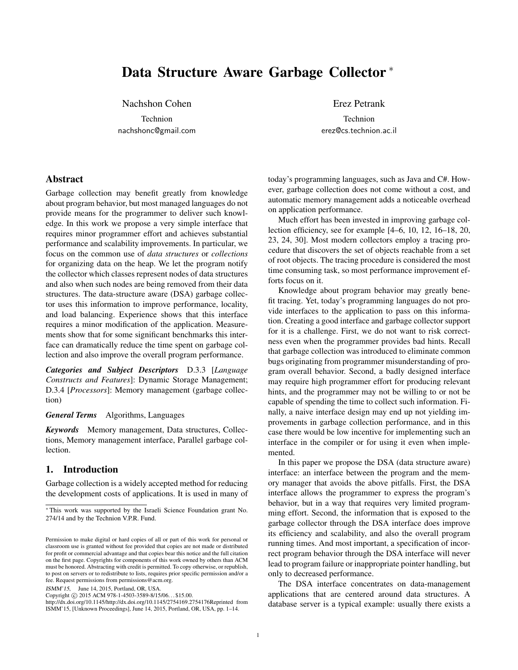# Data Structure Aware Garbage Collector <sup>∗</sup>

Nachshon Cohen

Technion nachshonc@gmail.com Erez Petrank

Technion erez@cs.technion.ac.il

### Abstract

Garbage collection may benefit greatly from knowledge about program behavior, but most managed languages do not provide means for the programmer to deliver such knowledge. In this work we propose a very simple interface that requires minor programmer effort and achieves substantial performance and scalability improvements. In particular, we focus on the common use of *data structures* or *collections* for organizing data on the heap. We let the program notify the collector which classes represent nodes of data structures and also when such nodes are being removed from their data structures. The data-structure aware (DSA) garbage collector uses this information to improve performance, locality, and load balancing. Experience shows that this interface requires a minor modification of the application. Measurements show that for some significant benchmarks this interface can dramatically reduce the time spent on garbage collection and also improve the overall program performance.

*Categories and Subject Descriptors* D.3.3 [*Language Constructs and Features*]: Dynamic Storage Management; D.3.4 [*Processors*]: Memory management (garbage collection)

#### *General Terms* Algorithms, Languages

*Keywords* Memory management, Data structures, Collections, Memory management interface, Parallel garbage collection.

### 1. Introduction

Garbage collection is a widely accepted method for reducing the development costs of applications. It is used in many of

ISMM'15, June 14, 2015, Portland, OR, USA.

today's programming languages, such as Java and C#. However, garbage collection does not come without a cost, and automatic memory management adds a noticeable overhead on application performance.

Much effort has been invested in improving garbage collection efficiency, see for example [4–6, 10, 12, 16–18, 20, 23, 24, 30]. Most modern collectors employ a tracing procedure that discovers the set of objects reachable from a set of root objects. The tracing procedure is considered the most time consuming task, so most performance improvement efforts focus on it.

Knowledge about program behavior may greatly benefit tracing. Yet, today's programming languages do not provide interfaces to the application to pass on this information. Creating a good interface and garbage collector support for it is a challenge. First, we do not want to risk correctness even when the programmer provides bad hints. Recall that garbage collection was introduced to eliminate common bugs originating from programmer misunderstanding of program overall behavior. Second, a badly designed interface may require high programmer effort for producing relevant hints, and the programmer may not be willing to or not be capable of spending the time to collect such information. Finally, a naive interface design may end up not yielding improvements in garbage collection performance, and in this case there would be low incentive for implementing such an interface in the compiler or for using it even when implemented.

In this paper we propose the DSA (data structure aware) interface: an interface between the program and the memory manager that avoids the above pitfalls. First, the DSA interface allows the programmer to express the program's behavior, but in a way that requires very limited programming effort. Second, the information that is exposed to the garbage collector through the DSA interface does improve its efficiency and scalability, and also the overall program running times. And most important, a specification of incorrect program behavior through the DSA interface will never lead to program failure or inappropriate pointer handling, but only to decreased performance.

The DSA interface concentrates on data-management applications that are centered around data structures. A database server is a typical example: usually there exists a

<sup>∗</sup> This work was supported by the Israeli Science Foundation grant No. 274/14 and by the Technion V.P.R. Fund.

Permission to make digital or hard copies of all or part of this work for personal or classroom use is granted without fee provided that copies are not made or distributed for profit or commercial advantage and that copies bear this notice and the full citation on the first page. Copyrights for components of this work owned by others than ACM must be honored. Abstracting with credit is permitted. To copy otherwise, or republish, to post on servers or to redistribute to lists, requires prior specific permission and/or a fee. Request permissions from permissions@acm.org.

Copyright © 2015 ACM 978-1-4503-3589-8/15/06... \$15.00.

http://dx.doi.org/10.1145/http://dx.doi.org/10.1145/2754169.2754176Reprinted from ISMM'15, [Unknown Proceedings], June 14, 2015, Portland, OR, USA, pp. 1–14.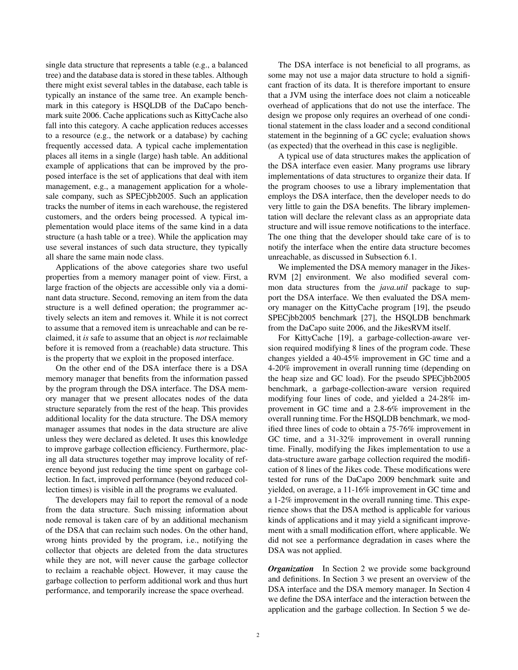single data structure that represents a table (e.g., a balanced tree) and the database data is stored in these tables. Although there might exist several tables in the database, each table is typically an instance of the same tree. An example benchmark in this category is HSQLDB of the DaCapo benchmark suite 2006. Cache applications such as KittyCache also fall into this category. A cache application reduces accesses to a resource (e.g., the network or a database) by caching frequently accessed data. A typical cache implementation places all items in a single (large) hash table. An additional example of applications that can be improved by the proposed interface is the set of applications that deal with item management, e.g., a management application for a wholesale company, such as SPECjbb2005. Such an application tracks the number of items in each warehouse, the registered customers, and the orders being processed. A typical implementation would place items of the same kind in a data structure (a hash table or a tree). While the application may use several instances of such data structure, they typically all share the same main node class.

Applications of the above categories share two useful properties from a memory manager point of view. First, a large fraction of the objects are accessible only via a dominant data structure. Second, removing an item from the data structure is a well defined operation; the programmer actively selects an item and removes it. While it is not correct to assume that a removed item is unreachable and can be reclaimed, it *is* safe to assume that an object is *not* reclaimable before it is removed from a (reachable) data structure. This is the property that we exploit in the proposed interface.

On the other end of the DSA interface there is a DSA memory manager that benefits from the information passed by the program through the DSA interface. The DSA memory manager that we present allocates nodes of the data structure separately from the rest of the heap. This provides additional locality for the data structure. The DSA memory manager assumes that nodes in the data structure are alive unless they were declared as deleted. It uses this knowledge to improve garbage collection efficiency. Furthermore, placing all data structures together may improve locality of reference beyond just reducing the time spent on garbage collection. In fact, improved performance (beyond reduced collection times) is visible in all the programs we evaluated.

The developers may fail to report the removal of a node from the data structure. Such missing information about node removal is taken care of by an additional mechanism of the DSA that can reclaim such nodes. On the other hand, wrong hints provided by the program, i.e., notifying the collector that objects are deleted from the data structures while they are not, will never cause the garbage collector to reclaim a reachable object. However, it may cause the garbage collection to perform additional work and thus hurt performance, and temporarily increase the space overhead.

The DSA interface is not beneficial to all programs, as some may not use a major data structure to hold a significant fraction of its data. It is therefore important to ensure that a JVM using the interface does not claim a noticeable overhead of applications that do not use the interface. The design we propose only requires an overhead of one conditional statement in the class loader and a second conditional statement in the beginning of a GC cycle; evaluation shows (as expected) that the overhead in this case is negligible.

A typical use of data structures makes the application of the DSA interface even easier. Many programs use library implementations of data structures to organize their data. If the program chooses to use a library implementation that employs the DSA interface, then the developer needs to do very little to gain the DSA benefits. The library implementation will declare the relevant class as an appropriate data structure and will issue remove notifications to the interface. The one thing that the developer should take care of is to notify the interface when the entire data structure becomes unreachable, as discussed in Subsection 6.1.

We implemented the DSA memory manager in the Jikes-RVM [2] environment. We also modified several common data structures from the *java.util* package to support the DSA interface. We then evaluated the DSA memory manager on the KittyCache program [19], the pseudo SPECjbb2005 benchmark [27], the HSQLDB benchmark from the DaCapo suite 2006, and the JikesRVM itself.

For KittyCache [19], a garbage-collection-aware version required modifying 8 lines of the program code. These changes yielded a 40-45% improvement in GC time and a 4-20% improvement in overall running time (depending on the heap size and GC load). For the pseudo SPECjbb2005 benchmark, a garbage-collection-aware version required modifying four lines of code, and yielded a 24-28% improvement in GC time and a 2.8-6% improvement in the overall running time. For the HSQLDB benchmark, we modified three lines of code to obtain a 75-76% improvement in GC time, and a 31-32% improvement in overall running time. Finally, modifying the Jikes implementation to use a data-structure aware garbage collection required the modification of 8 lines of the Jikes code. These modifications were tested for runs of the DaCapo 2009 benchmark suite and yielded, on average, a 11-16% improvement in GC time and a 1-2% improvement in the overall running time. This experience shows that the DSA method is applicable for various kinds of applications and it may yield a significant improvement with a small modification effort, where applicable. We did not see a performance degradation in cases where the DSA was not applied.

*Organization* In Section 2 we provide some background and definitions. In Section 3 we present an overview of the DSA interface and the DSA memory manager. In Section 4 we define the DSA interface and the interaction between the application and the garbage collection. In Section 5 we de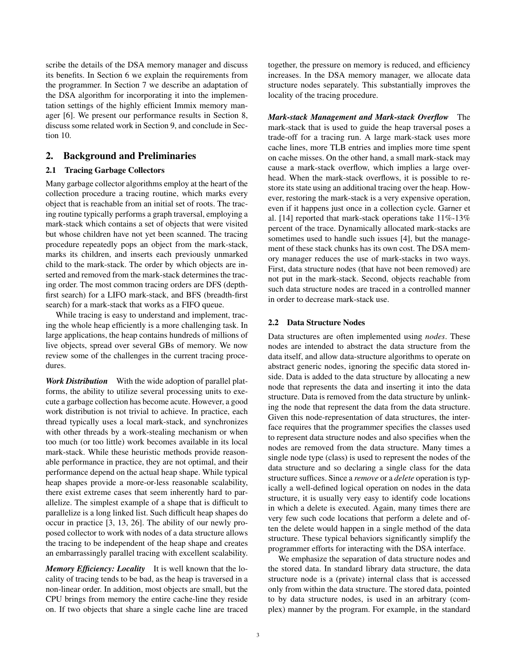scribe the details of the DSA memory manager and discuss its benefits. In Section 6 we explain the requirements from the programmer. In Section 7 we describe an adaptation of the DSA algorithm for incorporating it into the implementation settings of the highly efficient Immix memory manager [6]. We present our performance results in Section 8, discuss some related work in Section 9, and conclude in Section 10.

### 2. Background and Preliminaries

#### 2.1 Tracing Garbage Collectors

Many garbage collector algorithms employ at the heart of the collection procedure a tracing routine, which marks every object that is reachable from an initial set of roots. The tracing routine typically performs a graph traversal, employing a mark-stack which contains a set of objects that were visited but whose children have not yet been scanned. The tracing procedure repeatedly pops an object from the mark-stack, marks its children, and inserts each previously unmarked child to the mark-stack. The order by which objects are inserted and removed from the mark-stack determines the tracing order. The most common tracing orders are DFS (depthfirst search) for a LIFO mark-stack, and BFS (breadth-first search) for a mark-stack that works as a FIFO queue.

While tracing is easy to understand and implement, tracing the whole heap efficiently is a more challenging task. In large applications, the heap contains hundreds of millions of live objects, spread over several GBs of memory. We now review some of the challenges in the current tracing procedures.

*Work Distribution* With the wide adoption of parallel platforms, the ability to utilize several processing units to execute a garbage collection has become acute. However, a good work distribution is not trivial to achieve. In practice, each thread typically uses a local mark-stack, and synchronizes with other threads by a work-stealing mechanism or when too much (or too little) work becomes available in its local mark-stack. While these heuristic methods provide reasonable performance in practice, they are not optimal, and their performance depend on the actual heap shape. While typical heap shapes provide a more-or-less reasonable scalability, there exist extreme cases that seem inherently hard to parallelize. The simplest example of a shape that is difficult to parallelize is a long linked list. Such difficult heap shapes do occur in practice [3, 13, 26]. The ability of our newly proposed collector to work with nodes of a data structure allows the tracing to be independent of the heap shape and creates an embarrassingly parallel tracing with excellent scalability.

*Memory Efficiency: Locality* It is well known that the locality of tracing tends to be bad, as the heap is traversed in a non-linear order. In addition, most objects are small, but the CPU brings from memory the entire cache-line they reside on. If two objects that share a single cache line are traced

together, the pressure on memory is reduced, and efficiency increases. In the DSA memory manager, we allocate data structure nodes separately. This substantially improves the locality of the tracing procedure.

*Mark-stack Management and Mark-stack Overflow* The mark-stack that is used to guide the heap traversal poses a trade-off for a tracing run. A large mark-stack uses more cache lines, more TLB entries and implies more time spent on cache misses. On the other hand, a small mark-stack may cause a mark-stack overflow, which implies a large overhead. When the mark-stack overflows, it is possible to restore its state using an additional tracing over the heap. However, restoring the mark-stack is a very expensive operation, even if it happens just once in a collection cycle. Garner et al. [14] reported that mark-stack operations take 11%-13% percent of the trace. Dynamically allocated mark-stacks are sometimes used to handle such issues [4], but the management of these stack chunks has its own cost. The DSA memory manager reduces the use of mark-stacks in two ways. First, data structure nodes (that have not been removed) are not put in the mark-stack. Second, objects reachable from such data structure nodes are traced in a controlled manner in order to decrease mark-stack use.

### 2.2 Data Structure Nodes

Data structures are often implemented using *nodes*. These nodes are intended to abstract the data structure from the data itself, and allow data-structure algorithms to operate on abstract generic nodes, ignoring the specific data stored inside. Data is added to the data structure by allocating a new node that represents the data and inserting it into the data structure. Data is removed from the data structure by unlinking the node that represent the data from the data structure. Given this node-representation of data structures, the interface requires that the programmer specifies the classes used to represent data structure nodes and also specifies when the nodes are removed from the data structure. Many times a single node type (class) is used to represent the nodes of the data structure and so declaring a single class for the data structure suffices. Since a *remove* or a *delete* operation is typically a well-defined logical operation on nodes in the data structure, it is usually very easy to identify code locations in which a delete is executed. Again, many times there are very few such code locations that perform a delete and often the delete would happen in a single method of the data structure. These typical behaviors significantly simplify the programmer efforts for interacting with the DSA interface.

We emphasize the separation of data structure nodes and the stored data. In standard library data structure, the data structure node is a (private) internal class that is accessed only from within the data structure. The stored data, pointed to by data structure nodes, is used in an arbitrary (complex) manner by the program. For example, in the standard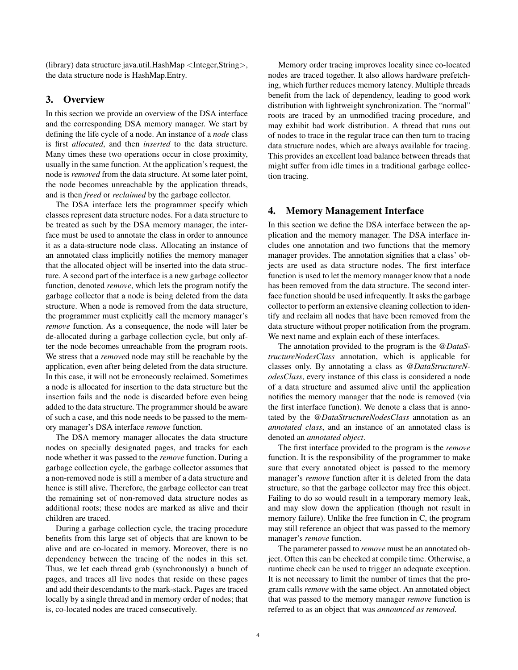(library) data structure java.util.HashMap <Integer,String>, the data structure node is HashMap.Entry.

### 3. Overview

In this section we provide an overview of the DSA interface and the corresponding DSA memory manager. We start by defining the life cycle of a node. An instance of a *node* class is first *allocated*, and then *inserted* to the data structure. Many times these two operations occur in close proximity, usually in the same function. At the application's request, the node is *removed* from the data structure. At some later point, the node becomes unreachable by the application threads, and is then *freed* or *reclaimed* by the garbage collector.

The DSA interface lets the programmer specify which classes represent data structure nodes. For a data structure to be treated as such by the DSA memory manager, the interface must be used to annotate the class in order to announce it as a data-structure node class. Allocating an instance of an annotated class implicitly notifies the memory manager that the allocated object will be inserted into the data structure. A second part of the interface is a new garbage collector function, denoted *remove*, which lets the program notify the garbage collector that a node is being deleted from the data structure. When a node is removed from the data structure, the programmer must explicitly call the memory manager's *remove* function. As a consequence, the node will later be de-allocated during a garbage collection cycle, but only after the node becomes unreachable from the program roots. We stress that a *remove*d node may still be reachable by the application, even after being deleted from the data structure. In this case, it will not be erroneously reclaimed. Sometimes a node is allocated for insertion to the data structure but the insertion fails and the node is discarded before even being added to the data structure. The programmer should be aware of such a case, and this node needs to be passed to the memory manager's DSA interface *remove* function.

The DSA memory manager allocates the data structure nodes on specially designated pages, and tracks for each node whether it was passed to the *remove* function. During a garbage collection cycle, the garbage collector assumes that a non-removed node is still a member of a data structure and hence is still alive. Therefore, the garbage collector can treat the remaining set of non-removed data structure nodes as additional roots; these nodes are marked as alive and their children are traced.

During a garbage collection cycle, the tracing procedure benefits from this large set of objects that are known to be alive and are co-located in memory. Moreover, there is no dependency between the tracing of the nodes in this set. Thus, we let each thread grab (synchronously) a bunch of pages, and traces all live nodes that reside on these pages and add their descendants to the mark-stack. Pages are traced locally by a single thread and in memory order of nodes; that is, co-located nodes are traced consecutively.

Memory order tracing improves locality since co-located nodes are traced together. It also allows hardware prefetching, which further reduces memory latency. Multiple threads benefit from the lack of dependency, leading to good work distribution with lightweight synchronization. The "normal" roots are traced by an unmodified tracing procedure, and may exhibit bad work distribution. A thread that runs out of nodes to trace in the regular trace can then turn to tracing data structure nodes, which are always available for tracing. This provides an excellent load balance between threads that might suffer from idle times in a traditional garbage collection tracing.

### 4. Memory Management Interface

In this section we define the DSA interface between the application and the memory manager. The DSA interface includes one annotation and two functions that the memory manager provides. The annotation signifies that a class' objects are used as data structure nodes. The first interface function is used to let the memory manager know that a node has been removed from the data structure. The second interface function should be used infrequently. It asks the garbage collector to perform an extensive cleaning collection to identify and reclaim all nodes that have been removed from the data structure without proper notification from the program. We next name and explain each of these interfaces.

The annotation provided to the program is the *@DataStructureNodesClass* annotation, which is applicable for classes only. By annotating a class as *@DataStructureNodesClass*, every instance of this class is considered a node of a data structure and assumed alive until the application notifies the memory manager that the node is removed (via the first interface function). We denote a class that is annotated by the *@DataStructureNodesClass* annotation as an *annotated class*, and an instance of an annotated class is denoted an *annotated object*.

The first interface provided to the program is the *remove* function. It is the responsibility of the programmer to make sure that every annotated object is passed to the memory manager's *remove* function after it is deleted from the data structure, so that the garbage collector may free this object. Failing to do so would result in a temporary memory leak, and may slow down the application (though not result in memory failure). Unlike the free function in C, the program may still reference an object that was passed to the memory manager's *remove* function.

The parameter passed to *remove* must be an annotated object. Often this can be checked at compile time. Otherwise, a runtime check can be used to trigger an adequate exception. It is not necessary to limit the number of times that the program calls *remove* with the same object. An annotated object that was passed to the memory manager *remove* function is referred to as an object that was *announced as removed*.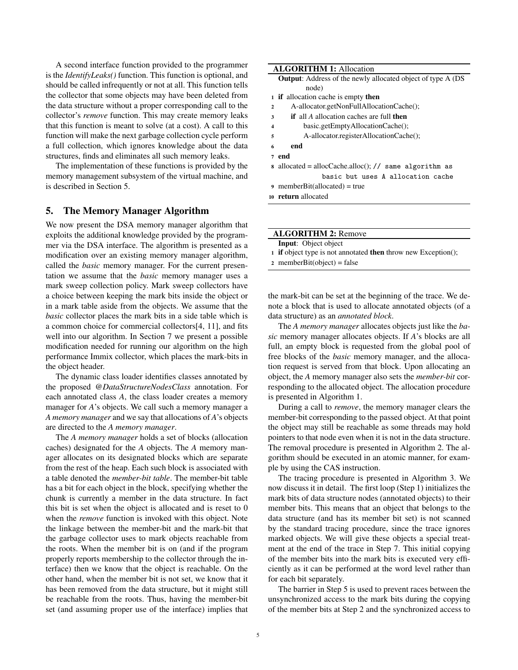A second interface function provided to the programmer is the *IdentifyLeaks()* function. This function is optional, and should be called infrequently or not at all. This function tells the collector that some objects may have been deleted from the data structure without a proper corresponding call to the collector's *remove* function. This may create memory leaks that this function is meant to solve (at a cost). A call to this function will make the next garbage collection cycle perform a full collection, which ignores knowledge about the data structures, finds and eliminates all such memory leaks.

The implementation of these functions is provided by the memory management subsystem of the virtual machine, and is described in Section 5.

### 5. The Memory Manager Algorithm

We now present the DSA memory manager algorithm that exploits the additional knowledge provided by the programmer via the DSA interface. The algorithm is presented as a modification over an existing memory manager algorithm, called the *basic* memory manager. For the current presentation we assume that the *basic* memory manager uses a mark sweep collection policy. Mark sweep collectors have a choice between keeping the mark bits inside the object or in a mark table aside from the objects. We assume that the *basic* collector places the mark bits in a side table which is a common choice for commercial collectors[4, 11], and fits well into our algorithm. In Section 7 we present a possible modification needed for running our algorithm on the high performance Immix collector, which places the mark-bits in the object header.

The dynamic class loader identifies classes annotated by the proposed *@DataStructureNodesClass* annotation. For each annotated class *A*, the class loader creates a memory manager for *A*'s objects. We call such a memory manager a *A memory manager* and we say that allocations of *A*'s objects are directed to the *A memory manager*.

The *A memory manager* holds a set of blocks (allocation caches) designated for the *A* objects. The *A* memory manager allocates on its designated blocks which are separate from the rest of the heap. Each such block is associated with a table denoted the *member-bit table*. The member-bit table has a bit for each object in the block, specifying whether the chunk is currently a member in the data structure. In fact this bit is set when the object is allocated and is reset to 0 when the *remove* function is invoked with this object. Note the linkage between the member-bit and the mark-bit that the garbage collector uses to mark objects reachable from the roots. When the member bit is on (and if the program properly reports membership to the collector through the interface) then we know that the object is reachable. On the other hand, when the member bit is not set, we know that it has been removed from the data structure, but it might still be reachable from the roots. Thus, having the member-bit set (and assuming proper use of the interface) implies that

|                | <b>Output:</b> Address of the newly allocated object of type A (DS) |
|----------------|---------------------------------------------------------------------|
|                | node)                                                               |
|                | 1 <b>if</b> allocation cache is empty <b>then</b>                   |
| $\overline{2}$ | A-allocator.getNonFullAllocationCache();                            |
| 3              | <b>if</b> all A allocation caches are full <b>then</b>              |
| 4              | basic.getEmptyAllocationCache();                                    |
| 5              | A-allocator.registerAllocationCache();                              |
| 6              | end                                                                 |
|                | 7 end                                                               |
| 8              | allocated = alloc $Cache$ alloc $();$ // same algorithm as          |
|                | basic but uses A allocation cache                                   |
| 9              | $memberBit(allocated) = true$                                       |
|                | 10 <b>return</b> allocated                                          |

### ALGORITHM 2: Remove

Input: Object object

- <sup>1</sup> if object type is not annotated then throw new Exception();
- $2$  memberBit(object) = false

the mark-bit can be set at the beginning of the trace. We denote a block that is used to allocate annotated objects (of a data structure) as an *annotated block*.

The *A memory manager* allocates objects just like the *basic* memory manager allocates objects. If *A*'s blocks are all full, an empty block is requested from the global pool of free blocks of the *basic* memory manager, and the allocation request is served from that block. Upon allocating an object, the *A* memory manager also sets the *member-bit* corresponding to the allocated object. The allocation procedure is presented in Algorithm 1.

During a call to *remove*, the memory manager clears the member-bit corresponding to the passed object. At that point the object may still be reachable as some threads may hold pointers to that node even when it is not in the data structure. The removal procedure is presented in Algorithm 2. The algorithm should be executed in an atomic manner, for example by using the CAS instruction.

The tracing procedure is presented in Algorithm 3. We now discuss it in detail. The first loop (Step 1) initializes the mark bits of data structure nodes (annotated objects) to their member bits. This means that an object that belongs to the data structure (and has its member bit set) is not scanned by the standard tracing procedure, since the trace ignores marked objects. We will give these objects a special treatment at the end of the trace in Step 7. This initial copying of the member bits into the mark bits is executed very efficiently as it can be performed at the word level rather than for each bit separately.

The barrier in Step 5 is used to prevent races between the unsynchronized access to the mark bits during the copying of the member bits at Step 2 and the synchronized access to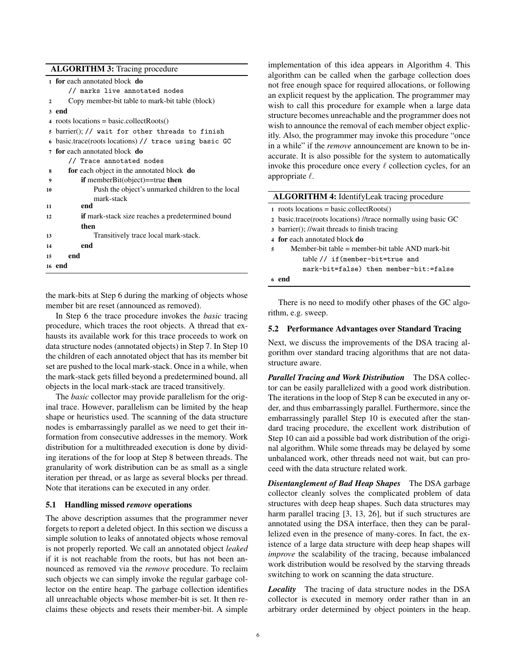|    | <b>ALGORITHM 3: Tracing procedure</b>                   |
|----|---------------------------------------------------------|
|    | 1 for each annotated block do                           |
|    | // marks live annotated nodes                           |
| 2  | Copy member-bit table to mark-bit table (block)         |
|    | 3 end                                                   |
|    | 4 roots locations = basic.collectRoots()                |
| 5  | $barrier(); //$ wait for other threads to finish        |
| 6  | basic.trace(roots locations) // trace using basic GC    |
|    | <b>7 for</b> each annotated block <b>do</b>             |
|    | // Trace annotated nodes                                |
| 8  | for each object in the annotated block do               |
| 9  | <b>if</b> member $Bit(object) == true$ then             |
| 10 | Push the object's unmarked children to the local        |
|    | mark-stack<br>end                                       |
| 11 |                                                         |
| 12 | <b>if</b> mark-stack size reaches a predetermined bound |
|    | then                                                    |
| 13 | Transitively trace local mark-stack.                    |
| 14 | end                                                     |
| 15 | end                                                     |
|    | 16 end                                                  |

the mark-bits at Step 6 during the marking of objects whose member bit are reset (announced as removed).

In Step 6 the trace procedure invokes the *basic* tracing procedure, which traces the root objects. A thread that exhausts its available work for this trace proceeds to work on data structure nodes (annotated objects) in Step 7. In Step 10 the children of each annotated object that has its member bit set are pushed to the local mark-stack. Once in a while, when the mark-stack gets filled beyond a predetermined bound, all objects in the local mark-stack are traced transitively.

The *basic* collector may provide parallelism for the original trace. However, parallelism can be limited by the heap shape or heuristics used. The scanning of the data structure nodes is embarrassingly parallel as we need to get their information from consecutive addresses in the memory. Work distribution for a multithreaded execution is done by dividing iterations of the for loop at Step 8 between threads. The granularity of work distribution can be as small as a single iteration per thread, or as large as several blocks per thread. Note that iterations can be executed in any order.

#### 5.1 Handling missed *remove* operations

The above description assumes that the programmer never forgets to report a deleted object. In this section we discuss a simple solution to leaks of annotated objects whose removal is not properly reported. We call an annotated object *leaked* if it is not reachable from the roots, but has not been announced as removed via the *remove* procedure. To reclaim such objects we can simply invoke the regular garbage collector on the entire heap. The garbage collection identifies all unreachable objects whose member-bit is set. It then reclaims these objects and resets their member-bit. A simple

implementation of this idea appears in Algorithm 4. This algorithm can be called when the garbage collection does not free enough space for required allocations, or following an explicit request by the application. The programmer may wish to call this procedure for example when a large data structure becomes unreachable and the programmer does not wish to announce the removal of each member object explicitly. Also, the programmer may invoke this procedure "once in a while" if the *remove* announcement are known to be inaccurate. It is also possible for the system to automatically invoke this procedure once every  $\ell$  collection cycles, for an appropriate  $\ell$ .

| <b>ALGORITHM 4: IdentifyLeak tracing procedure</b>              |
|-----------------------------------------------------------------|
| 1 roots locations = basic.collectRoots()                        |
| 2 basic trace (roots locations) //trace normally using basic GC |
| 3 barrier(); //wait threads to finish tracing                   |
| <b>4 for each annotated block do</b>                            |
| Member-bit table = member-bit table $AND$ mark-bit<br>5         |
| $table // if (member-bit=true and$                              |
| mark-bit=false) then member-bit:=false                          |
| end                                                             |

There is no need to modify other phases of the GC algorithm, e.g. sweep.

### 5.2 Performance Advantages over Standard Tracing

Next, we discuss the improvements of the DSA tracing algorithm over standard tracing algorithms that are not datastructure aware.

*Parallel Tracing and Work Distribution* The DSA collector can be easily parallelized with a good work distribution. The iterations in the loop of Step 8 can be executed in any order, and thus embarrassingly parallel. Furthermore, since the embarrassingly parallel Step 10 is executed after the standard tracing procedure, the excellent work distribution of Step 10 can aid a possible bad work distribution of the original algorithm. While some threads may be delayed by some unbalanced work, other threads need not wait, but can proceed with the data structure related work.

*Disentanglement of Bad Heap Shapes* The DSA garbage collector cleanly solves the complicated problem of data structures with deep heap shapes. Such data structures may harm parallel tracing [3, 13, 26], but if such structures are annotated using the DSA interface, then they can be parallelized even in the presence of many-cores. In fact, the existence of a large data structure with deep heap shapes will *improve* the scalability of the tracing, because imbalanced work distribution would be resolved by the starving threads switching to work on scanning the data structure.

*Locality* The tracing of data structure nodes in the DSA collector is executed in memory order rather than in an arbitrary order determined by object pointers in the heap.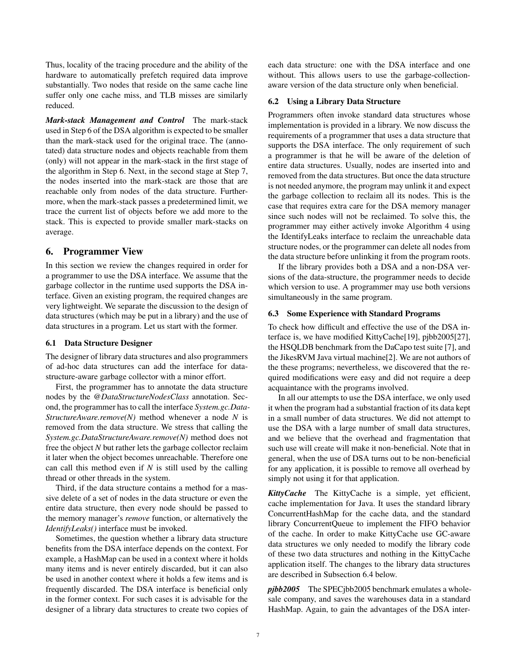Thus, locality of the tracing procedure and the ability of the hardware to automatically prefetch required data improve substantially. Two nodes that reside on the same cache line suffer only one cache miss, and TLB misses are similarly reduced.

*Mark-stack Management and Control* The mark-stack used in Step 6 of the DSA algorithm is expected to be smaller than the mark-stack used for the original trace. The (annotated) data structure nodes and objects reachable from them (only) will not appear in the mark-stack in the first stage of the algorithm in Step 6. Next, in the second stage at Step 7, the nodes inserted into the mark-stack are those that are reachable only from nodes of the data structure. Furthermore, when the mark-stack passes a predetermined limit, we trace the current list of objects before we add more to the stack. This is expected to provide smaller mark-stacks on average.

### 6. Programmer View

In this section we review the changes required in order for a programmer to use the DSA interface. We assume that the garbage collector in the runtime used supports the DSA interface. Given an existing program, the required changes are very lightweight. We separate the discussion to the design of data structures (which may be put in a library) and the use of data structures in a program. Let us start with the former.

#### 6.1 Data Structure Designer

The designer of library data structures and also programmers of ad-hoc data structures can add the interface for datastructure-aware garbage collector with a minor effort.

First, the programmer has to annotate the data structure nodes by the *@DataStructureNodesClass* annotation. Second, the programmer has to call the interface *System.gc.Data-StructureAware.remove(N)* method whenever a node *N* is removed from the data structure. We stress that calling the *System.gc.DataStructureAware.remove(N)* method does not free the object *N* but rather lets the garbage collector reclaim it later when the object becomes unreachable. Therefore one can call this method even if *N* is still used by the calling thread or other threads in the system.

Third, if the data structure contains a method for a massive delete of a set of nodes in the data structure or even the entire data structure, then every node should be passed to the memory manager's *remove* function, or alternatively the *IdentifyLeaks()* interface must be invoked.

Sometimes, the question whether a library data structure benefits from the DSA interface depends on the context. For example, a HashMap can be used in a context where it holds many items and is never entirely discarded, but it can also be used in another context where it holds a few items and is frequently discarded. The DSA interface is beneficial only in the former context. For such cases it is advisable for the designer of a library data structures to create two copies of each data structure: one with the DSA interface and one without. This allows users to use the garbage-collectionaware version of the data structure only when beneficial.

#### 6.2 Using a Library Data Structure

Programmers often invoke standard data structures whose implementation is provided in a library. We now discuss the requirements of a programmer that uses a data structure that supports the DSA interface. The only requirement of such a programmer is that he will be aware of the deletion of entire data structures. Usually, nodes are inserted into and removed from the data structures. But once the data structure is not needed anymore, the program may unlink it and expect the garbage collection to reclaim all its nodes. This is the case that requires extra care for the DSA memory manager since such nodes will not be reclaimed. To solve this, the programmer may either actively invoke Algorithm 4 using the IdentifyLeaks interface to reclaim the unreachable data structure nodes, or the programmer can delete all nodes from the data structure before unlinking it from the program roots.

If the library provides both a DSA and a non-DSA versions of the data-structure, the programmer needs to decide which version to use. A programmer may use both versions simultaneously in the same program.

#### 6.3 Some Experience with Standard Programs

To check how difficult and effective the use of the DSA interface is, we have modified KittyCache[19], pjbb2005[27], the HSQLDB benchmark from the DaCapo test suite [7], and the JikesRVM Java virtual machine[2]. We are not authors of the these programs; nevertheless, we discovered that the required modifications were easy and did not require a deep acquaintance with the programs involved.

In all our attempts to use the DSA interface, we only used it when the program had a substantial fraction of its data kept in a small number of data structures. We did not attempt to use the DSA with a large number of small data structures, and we believe that the overhead and fragmentation that such use will create will make it non-beneficial. Note that in general, when the use of DSA turns out to be non-beneficial for any application, it is possible to remove all overhead by simply not using it for that application.

*KittyCache* The KittyCache is a simple, yet efficient, cache implementation for Java. It uses the standard library ConcurrentHashMap for the cache data, and the standard library ConcurrentQueue to implement the FIFO behavior of the cache. In order to make KittyCache use GC-aware data structures we only needed to modify the library code of these two data structures and nothing in the KittyCache application itself. The changes to the library data structures are described in Subsection 6.4 below.

*pjbb2005* The SPECjbb2005 benchmark emulates a wholesale company, and saves the warehouses data in a standard HashMap. Again, to gain the advantages of the DSA inter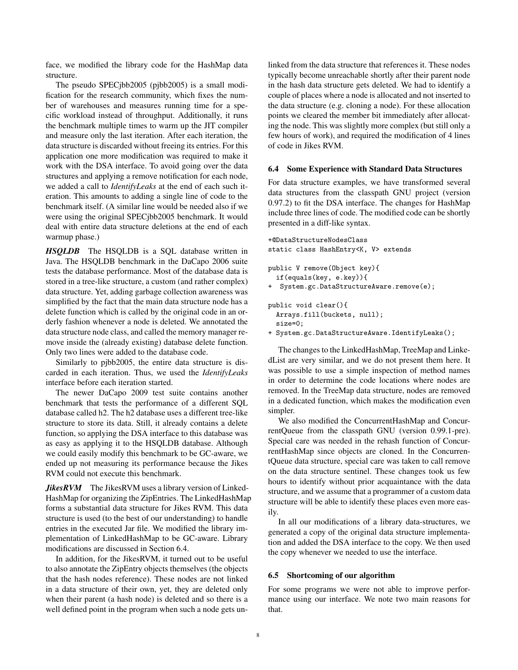face, we modified the library code for the HashMap data structure.

The pseudo SPECjbb2005 (pjbb2005) is a small modification for the research community, which fixes the number of warehouses and measures running time for a specific workload instead of throughput. Additionally, it runs the benchmark multiple times to warm up the JIT compiler and measure only the last iteration. After each iteration, the data structure is discarded without freeing its entries. For this application one more modification was required to make it work with the DSA interface. To avoid going over the data structures and applying a remove notification for each node, we added a call to *IdentifyLeaks* at the end of each such iteration. This amounts to adding a single line of code to the benchmark itself. (A similar line would be needed also if we were using the original SPECjbb2005 benchmark. It would deal with entire data structure deletions at the end of each warmup phase.)

*HSQLDB* The HSQLDB is a SQL database written in Java. The HSQLDB benchmark in the DaCapo 2006 suite tests the database performance. Most of the database data is stored in a tree-like structure, a custom (and rather complex) data structure. Yet, adding garbage collection awareness was simplified by the fact that the main data structure node has a delete function which is called by the original code in an orderly fashion whenever a node is deleted. We annotated the data structure node class, and called the memory manager remove inside the (already existing) database delete function. Only two lines were added to the database code.

Similarly to pjbb2005, the entire data structure is discarded in each iteration. Thus, we used the *IdentifyLeaks* interface before each iteration started.

The newer DaCapo 2009 test suite contains another benchmark that tests the performance of a different SQL database called h2. The h2 database uses a different tree-like structure to store its data. Still, it already contains a delete function, so applying the DSA interface to this database was as easy as applying it to the HSQLDB database. Although we could easily modify this benchmark to be GC-aware, we ended up not measuring its performance because the Jikes RVM could not execute this benchmark.

*JikesRVM* The JikesRVM uses a library version of Linked-HashMap for organizing the ZipEntries. The LinkedHashMap forms a substantial data structure for Jikes RVM. This data structure is used (to the best of our understanding) to handle entries in the executed Jar file. We modified the library implementation of LinkedHashMap to be GC-aware. Library modifications are discussed in Section 6.4.

In addition, for the JikesRVM, it turned out to be useful to also annotate the ZipEntry objects themselves (the objects that the hash nodes reference). These nodes are not linked in a data structure of their own, yet, they are deleted only when their parent (a hash node) is deleted and so there is a well defined point in the program when such a node gets unlinked from the data structure that references it. These nodes typically become unreachable shortly after their parent node in the hash data structure gets deleted. We had to identify a couple of places where a node is allocated and not inserted to the data structure (e.g. cloning a node). For these allocation points we cleared the member bit immediately after allocating the node. This was slightly more complex (but still only a few hours of work), and required the modification of 4 lines of code in Jikes RVM.

#### 6.4 Some Experience with Standard Data Structures

For data structure examples, we have transformed several data structures from the classpath GNU project (version 0.97.2) to fit the DSA interface. The changes for HashMap include three lines of code. The modified code can be shortly presented in a diff-like syntax.

```
+@DataStructureNodesClass
static class HashEntry<K, V> extends
public V remove(Object key){
  if(equals(key, e.key)){
+ System.gc.DataStructureAware.remove(e);
public void clear(){
  Arrays.fill(buckets, null);
  size=0;
+ System.gc.DataStructureAware.IdentifyLeaks();
```
The changes to the LinkedHashMap, TreeMap and LinkedList are very similar, and we do not present them here. It was possible to use a simple inspection of method names in order to determine the code locations where nodes are removed. In the TreeMap data structure, nodes are removed in a dedicated function, which makes the modification even simpler.

We also modified the ConcurrentHashMap and ConcurrentQueue from the classpath GNU (version 0.99.1-pre). Special care was needed in the rehash function of ConcurrentHashMap since objects are cloned. In the ConcurrentQueue data structure, special care was taken to call remove on the data structure sentinel. These changes took us few hours to identify without prior acquaintance with the data structure, and we assume that a programmer of a custom data structure will be able to identify these places even more easily.

In all our modifications of a library data-structures, we generated a copy of the original data structure implementation and added the DSA interface to the copy. We then used the copy whenever we needed to use the interface.

#### 6.5 Shortcoming of our algorithm

For some programs we were not able to improve performance using our interface. We note two main reasons for that.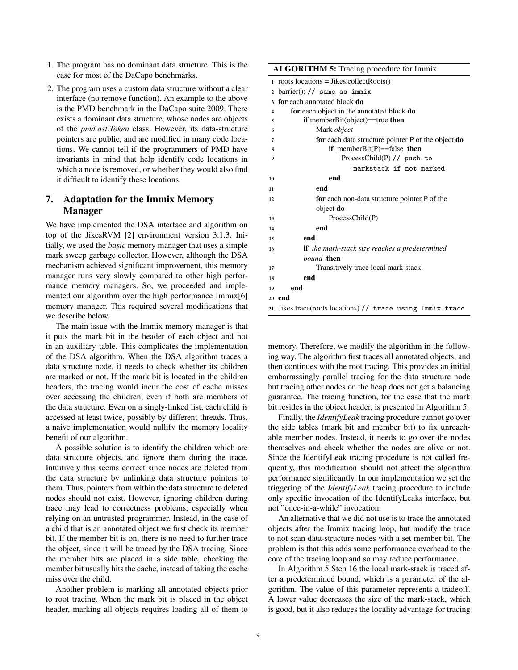- 1. The program has no dominant data structure. This is the case for most of the DaCapo benchmarks.
- 2. The program uses a custom data structure without a clear interface (no remove function). An example to the above is the PMD benchmark in the DaCapo suite 2009. There exists a dominant data structure, whose nodes are objects of the *pmd.ast.Token* class. However, its data-structure pointers are public, and are modified in many code locations. We cannot tell if the programmers of PMD have invariants in mind that help identify code locations in which a node is removed, or whether they would also find it difficult to identify these locations.

# 7. Adaptation for the Immix Memory Manager

We have implemented the DSA interface and algorithm on top of the JikesRVM [2] environment version 3.1.3. Initially, we used the *basic* memory manager that uses a simple mark sweep garbage collector. However, although the DSA mechanism achieved significant improvement, this memory manager runs very slowly compared to other high performance memory managers. So, we proceeded and implemented our algorithm over the high performance Immix[6] memory manager. This required several modifications that we describe below.

The main issue with the Immix memory manager is that it puts the mark bit in the header of each object and not in an auxiliary table. This complicates the implementation of the DSA algorithm. When the DSA algorithm traces a data structure node, it needs to check whether its children are marked or not. If the mark bit is located in the children headers, the tracing would incur the cost of cache misses over accessing the children, even if both are members of the data structure. Even on a singly-linked list, each child is accessed at least twice, possibly by different threads. Thus, a naive implementation would nullify the memory locality benefit of our algorithm.

A possible solution is to identify the children which are data structure objects, and ignore them during the trace. Intuitively this seems correct since nodes are deleted from the data structure by unlinking data structure pointers to them. Thus, pointers from within the data structure to deleted nodes should not exist. However, ignoring children during trace may lead to correctness problems, especially when relying on an untrusted programmer. Instead, in the case of a child that is an annotated object we first check its member bit. If the member bit is on, there is no need to further trace the object, since it will be traced by the DSA tracing. Since the member bits are placed in a side table, checking the member bit usually hits the cache, instead of taking the cache miss over the child.

Another problem is marking all annotated objects prior to root tracing. When the mark bit is placed in the object header, marking all objects requires loading all of them to

| <b>ALGORITHM 5:</b> Tracing procedure for Immix             |
|-------------------------------------------------------------|
| 1 roots locations = Jikes.collectRoots $()$                 |
| barrier(); // same as immix<br>$\overline{2}$               |
| for each annotated block do<br>3                            |
| for each object in the annotated block do<br>4              |
| <b>if</b> member $Bit(object) == true$ then<br>5            |
| Mark object<br>6                                            |
| for each data structure pointer P of the object do<br>7     |
| if memberBit(P)==false then<br>8                            |
| ProcessChild(P) $//$ push to<br>9                           |
| markstack if not marked                                     |
| end<br>10                                                   |
| end<br>11                                                   |
| for each non-data structure pointer P of the<br>12          |
| object do                                                   |
| ProcessChild(P)<br>13                                       |
| end<br>14                                                   |
| end<br>15                                                   |
| <b>if</b> the mark-stack size reaches a predetermined<br>16 |
| <i>bound</i> then                                           |
| Transitively trace local mark-stack.<br>17                  |
| end<br>18                                                   |
| end<br>19                                                   |
| 20 end                                                      |
| 21 Jikes.trace(roots locations) // trace using Immix trace  |
|                                                             |

memory. Therefore, we modify the algorithm in the following way. The algorithm first traces all annotated objects, and then continues with the root tracing. This provides an initial embarrassingly parallel tracing for the data structure node but tracing other nodes on the heap does not get a balancing guarantee. The tracing function, for the case that the mark bit resides in the object header, is presented in Algorithm 5.

Finally, the *IdentifyLeak* tracing procedure cannot go over the side tables (mark bit and member bit) to fix unreachable member nodes. Instead, it needs to go over the nodes themselves and check whether the nodes are alive or not. Since the IdentifyLeak tracing procedure is not called frequently, this modification should not affect the algorithm performance significantly. In our implementation we set the triggering of the *IdentifyLeak* tracing procedure to include only specific invocation of the IdentifyLeaks interface, but not "once-in-a-while" invocation.

An alternative that we did not use is to trace the annotated objects after the Immix tracing loop, but modify the trace to not scan data-structure nodes with a set member bit. The problem is that this adds some performance overhead to the core of the tracing loop and so may reduce performance.

In Algorithm 5 Step 16 the local mark-stack is traced after a predetermined bound, which is a parameter of the algorithm. The value of this parameter represents a tradeoff. A lower value decreases the size of the mark-stack, which is good, but it also reduces the locality advantage for tracing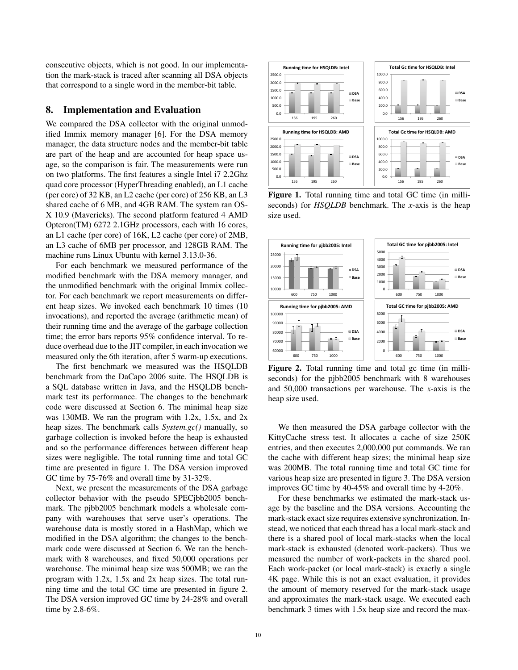consecutive objects, which is not good. In our implementation the mark-stack is traced after scanning all DSA objects that correspond to a single word in the member-bit table.

### 8. Implementation and Evaluation

We compared the DSA collector with the original unmodified Immix memory manager [6]. For the DSA memory manager, the data structure nodes and the member-bit table are part of the heap and are accounted for heap space usage, so the comparison is fair. The measurements were run on two platforms. The first features a single Intel i7 2.2Ghz quad core processor (HyperThreading enabled), an L1 cache (per core) of 32 KB, an L2 cache (per core) of 256 KB, an L3 shared cache of 6 MB, and 4GB RAM. The system ran OS-X 10.9 (Mavericks). The second platform featured 4 AMD Opteron(TM) 6272 2.1GHz processors, each with 16 cores, an L1 cache (per core) of 16K, L2 cache (per core) of 2MB, an L3 cache of 6MB per processor, and 128GB RAM. The machine runs Linux Ubuntu with kernel 3.13.0-36.

For each benchmark we measured performance of the modified benchmark with the DSA memory manager, and the unmodified benchmark with the original Immix collector. For each benchmark we report measurements on different heap sizes. We invoked each benchmark 10 times (10 invocations), and reported the average (arithmetic mean) of their running time and the average of the garbage collection time; the error bars reports 95% confidence interval. To reduce overhead due to the JIT compiler, in each invocation we measured only the 6th iteration, after 5 warm-up executions.

The first benchmark we measured was the HSQLDB benchmark from the DaCapo 2006 suite. The HSQLDB is a SQL database written in Java, and the HSQLDB benchmark test its performance. The changes to the benchmark code were discussed at Section 6. The minimal heap size was 130MB. We ran the program with 1.2x, 1.5x, and 2x heap sizes. The benchmark calls *System.gc()* manually, so garbage collection is invoked before the heap is exhausted and so the performance differences between different heap sizes were negligible. The total running time and total GC time are presented in figure 1. The DSA version improved GC time by 75-76% and overall time by 31-32%.

Next, we present the measurements of the DSA garbage collector behavior with the pseudo SPECjbb2005 benchmark. The pjbb2005 benchmark models a wholesale company with warehouses that serve user's operations. The warehouse data is mostly stored in a HashMap, which we modified in the DSA algorithm; the changes to the benchmark code were discussed at Section 6. We ran the benchmark with 8 warehouses, and fixed 50,000 operations per warehouse. The minimal heap size was 500MB; we ran the program with 1.2x, 1.5x and 2x heap sizes. The total running time and the total GC time are presented in figure 2. The DSA version improved GC time by 24-28% and overall time by 2.8-6%.



Figure 1. Total running time and total GC time (in milliseconds) for *HSQLDB* benchmark. The *x*-axis is the heap size used.



Figure 2. Total running time and total gc time (in milliseconds) for the pjbb2005 benchmark with 8 warehouses and 50,000 transactions per warehouse. The *x*-axis is the heap size used.

We then measured the DSA garbage collector with the KittyCache stress test. It allocates a cache of size 250K entries, and then executes 2,000,000 put commands. We ran the cache with different heap sizes; the minimal heap size was 200MB. The total running time and total GC time for various heap size are presented in figure 3. The DSA version improves GC time by 40-45% and overall time by 4-20%.

For these benchmarks we estimated the mark-stack usage by the baseline and the DSA versions. Accounting the mark-stack exact size requires extensive synchronization. Instead, we noticed that each thread has a local mark-stack and there is a shared pool of local mark-stacks when the local mark-stack is exhausted (denoted work-packets). Thus we measured the number of work-packets in the shared pool. Each work-packet (or local mark-stack) is exactly a single 4K page. While this is not an exact evaluation, it provides the amount of memory reserved for the mark-stack usage and approximates the mark-stack usage. We executed each benchmark 3 times with 1.5x heap size and record the max-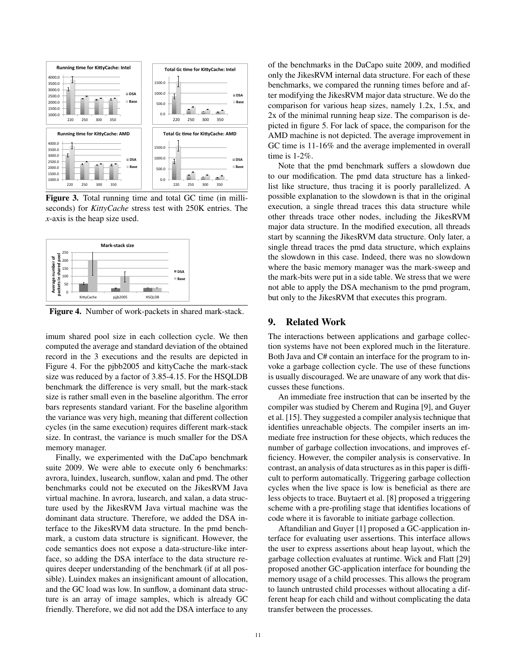

Figure 3. Total running time and total GC time (in milliseconds) for *KittyCache* stress test with 250K entries. The *x*-axis is the heap size used.



Figure 4. Number of work-packets in shared mark-stack.

imum shared pool size in each collection cycle. We then computed the average and standard deviation of the obtained record in the 3 executions and the results are depicted in Figure 4. For the pjbb2005 and kittyCache the mark-stack size was reduced by a factor of 3.85-4.15. For the HSQLDB benchmark the difference is very small, but the mark-stack size is rather small even in the baseline algorithm. The error bars represents standard variant. For the baseline algorithm the variance was very high, meaning that different collection cycles (in the same execution) requires different mark-stack size. In contrast, the variance is much smaller for the DSA memory manager.

Finally, we experimented with the DaCapo benchmark suite 2009. We were able to execute only 6 benchmarks: avrora, luindex, lusearch, sunflow, xalan and pmd. The other benchmarks could not be executed on the JikesRVM Java virtual machine. In avrora, lusearch, and xalan, a data structure used by the JikesRVM Java virtual machine was the dominant data structure. Therefore, we added the DSA interface to the JikesRVM data structure. In the pmd benchmark, a custom data structure is significant. However, the code semantics does not expose a data-structure-like interface, so adding the DSA interface to the data structure requires deeper understanding of the benchmark (if at all possible). Luindex makes an insignificant amount of allocation, and the GC load was low. In sunflow, a dominant data structure is an array of image samples, which is already GC friendly. Therefore, we did not add the DSA interface to any

of the benchmarks in the DaCapo suite 2009, and modified only the JikesRVM internal data structure. For each of these benchmarks, we compared the running times before and after modifying the JikesRVM major data structure. We do the comparison for various heap sizes, namely 1.2x, 1.5x, and 2x of the minimal running heap size. The comparison is depicted in figure 5. For lack of space, the comparison for the AMD machine is not depicted. The average improvement in GC time is 11-16% and the average implemented in overall time is 1-2%.

Note that the pmd benchmark suffers a slowdown due to our modification. The pmd data structure has a linkedlist like structure, thus tracing it is poorly parallelized. A possible explanation to the slowdown is that in the original execution, a single thread traces this data structure while other threads trace other nodes, including the JikesRVM major data structure. In the modified execution, all threads start by scanning the JikesRVM data structure. Only later, a single thread traces the pmd data structure, which explains the slowdown in this case. Indeed, there was no slowdown where the basic memory manager was the mark-sweep and the mark-bits were put in a side table. We stress that we were not able to apply the DSA mechanism to the pmd program, but only to the JikesRVM that executes this program.

#### 9. Related Work

The interactions between applications and garbage collection systems have not been explored much in the literature. Both Java and C# contain an interface for the program to invoke a garbage collection cycle. The use of these functions is usually discouraged. We are unaware of any work that discusses these functions.

An immediate free instruction that can be inserted by the compiler was studied by Cherem and Rugina [9], and Guyer et al. [15]. They suggested a compiler analysis technique that identifies unreachable objects. The compiler inserts an immediate free instruction for these objects, which reduces the number of garbage collection invocations, and improves efficiency. However, the compiler analysis is conservative. In contrast, an analysis of data structures as in this paper is difficult to perform automatically. Triggering garbage collection cycles when the live space is low is beneficial as there are less objects to trace. Buytaert et al. [8] proposed a triggering scheme with a pre-profiling stage that identifies locations of code where it is favorable to initiate garbage collection.

Aftandilian and Guyer [1] proposed a GC-application interface for evaluating user assertions. This interface allows the user to express assertions about heap layout, which the garbage collection evaluates at runtime. Wick and Flatt [29] proposed another GC-application interface for bounding the memory usage of a child processes. This allows the program to launch untrusted child processes without allocating a different heap for each child and without complicating the data transfer between the processes.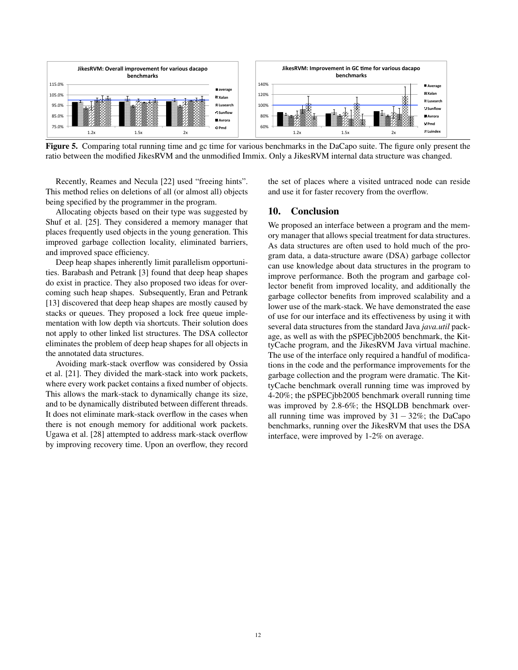

Figure 5. Comparing total running time and gc time for various benchmarks in the DaCapo suite. The figure only present the ratio between the modified JikesRVM and the unmodified Immix. Only a JikesRVM internal data structure was changed.

Recently, Reames and Necula [22] used "freeing hints". This method relies on deletions of all (or almost all) objects being specified by the programmer in the program.

Allocating objects based on their type was suggested by Shuf et al. [25]. They considered a memory manager that places frequently used objects in the young generation. This improved garbage collection locality, eliminated barriers, and improved space efficiency.

Deep heap shapes inherently limit parallelism opportunities. Barabash and Petrank [3] found that deep heap shapes do exist in practice. They also proposed two ideas for overcoming such heap shapes. Subsequently, Eran and Petrank [13] discovered that deep heap shapes are mostly caused by stacks or queues. They proposed a lock free queue implementation with low depth via shortcuts. Their solution does not apply to other linked list structures. The DSA collector eliminates the problem of deep heap shapes for all objects in the annotated data structures.

Avoiding mark-stack overflow was considered by Ossia et al. [21]. They divided the mark-stack into work packets, where every work packet contains a fixed number of objects. This allows the mark-stack to dynamically change its size, and to be dynamically distributed between different threads. It does not eliminate mark-stack overflow in the cases when there is not enough memory for additional work packets. Ugawa et al. [28] attempted to address mark-stack overflow by improving recovery time. Upon an overflow, they record

the set of places where a visited untraced node can reside and use it for faster recovery from the overflow.

# 10. Conclusion

We proposed an interface between a program and the memory manager that allows special treatment for data structures. As data structures are often used to hold much of the program data, a data-structure aware (DSA) garbage collector can use knowledge about data structures in the program to improve performance. Both the program and garbage collector benefit from improved locality, and additionally the garbage collector benefits from improved scalability and a lower use of the mark-stack. We have demonstrated the ease of use for our interface and its effectiveness by using it with several data structures from the standard Java *java.util* package, as well as with the pSPECjbb2005 benchmark, the KittyCache program, and the JikesRVM Java virtual machine. The use of the interface only required a handful of modifications in the code and the performance improvements for the garbage collection and the program were dramatic. The KittyCache benchmark overall running time was improved by 4-20%; the pSPECjbb2005 benchmark overall running time was improved by 2.8-6%; the HSQLDB benchmark overall running time was improved by  $31 - 32\%$ ; the DaCapo benchmarks, running over the JikesRVM that uses the DSA interface, were improved by 1-2% on average.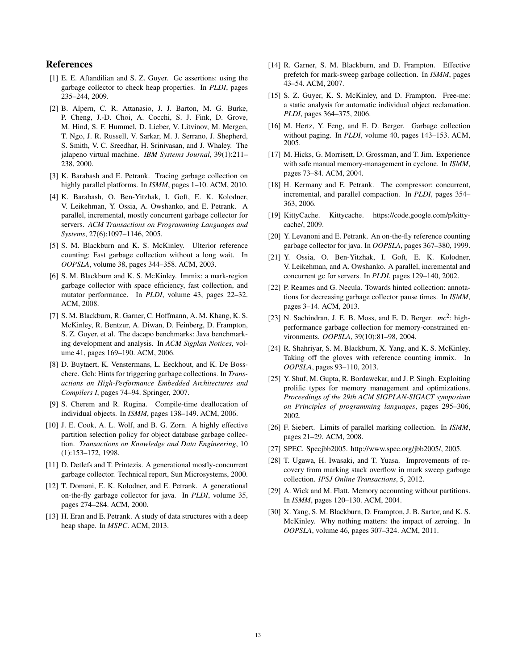### References

- [1] E. E. Aftandilian and S. Z. Guyer. Gc assertions: using the garbage collector to check heap properties. In *PLDI*, pages 235–244, 2009.
- [2] B. Alpern, C. R. Attanasio, J. J. Barton, M. G. Burke, P. Cheng, J.-D. Choi, A. Cocchi, S. J. Fink, D. Grove, M. Hind, S. F. Hummel, D. Lieber, V. Litvinov, M. Mergen, T. Ngo, J. R. Russell, V. Sarkar, M. J. Serrano, J. Shepherd, S. Smith, V. C. Sreedhar, H. Srinivasan, and J. Whaley. The jalapeno virtual machine. *IBM Systems Journal*, 39(1):211– 238, 2000.
- [3] K. Barabash and E. Petrank. Tracing garbage collection on highly parallel platforms. In *ISMM*, pages 1–10. ACM, 2010.
- [4] K. Barabash, O. Ben-Yitzhak, I. Goft, E. K. Kolodner, V. Leikehman, Y. Ossia, A. Owshanko, and E. Petrank. A parallel, incremental, mostly concurrent garbage collector for servers. *ACM Transactions on Programming Languages and Systems*, 27(6):1097–1146, 2005.
- [5] S. M. Blackburn and K. S. McKinley. Ulterior reference counting: Fast garbage collection without a long wait. In *OOPSLA*, volume 38, pages 344–358. ACM, 2003.
- [6] S. M. Blackburn and K. S. McKinley. Immix: a mark-region garbage collector with space efficiency, fast collection, and mutator performance. In *PLDI*, volume 43, pages 22–32. ACM, 2008.
- [7] S. M. Blackburn, R. Garner, C. Hoffmann, A. M. Khang, K. S. McKinley, R. Bentzur, A. Diwan, D. Feinberg, D. Frampton, S. Z. Guyer, et al. The dacapo benchmarks: Java benchmarking development and analysis. In *ACM Sigplan Notices*, volume 41, pages 169–190. ACM, 2006.
- [8] D. Buytaert, K. Venstermans, L. Eeckhout, and K. De Bosschere. Gch: Hints for triggering garbage collections. In *Transactions on High-Performance Embedded Architectures and Compilers I*, pages 74–94. Springer, 2007.
- [9] S. Cherem and R. Rugina. Compile-time deallocation of individual objects. In *ISMM*, pages 138–149. ACM, 2006.
- [10] J. E. Cook, A. L. Wolf, and B. G. Zorn. A highly effective partition selection policy for object database garbage collection. *Transactions on Knowledge and Data Engineering*, 10 (1):153–172, 1998.
- [11] D. Detlefs and T. Printezis. A generational mostly-concurrent garbage collector. Technical report, Sun Microsystems, 2000.
- [12] T. Domani, E. K. Kolodner, and E. Petrank. A generational on-the-fly garbage collector for java. In *PLDI*, volume 35, pages 274–284. ACM, 2000.
- [13] H. Eran and E. Petrank. A study of data structures with a deep heap shape. In *MSPC*. ACM, 2013.
- [14] R. Garner, S. M. Blackburn, and D. Frampton. Effective prefetch for mark-sweep garbage collection. In *ISMM*, pages 43–54. ACM, 2007.
- [15] S. Z. Guyer, K. S. McKinley, and D. Frampton. Free-me: a static analysis for automatic individual object reclamation. *PLDI*, pages 364–375, 2006.
- [16] M. Hertz, Y. Feng, and E. D. Berger. Garbage collection without paging. In *PLDI*, volume 40, pages 143–153. ACM, 2005.
- [17] M. Hicks, G. Morrisett, D. Grossman, and T. Jim. Experience with safe manual memory-management in cyclone. In *ISMM*, pages 73–84. ACM, 2004.
- [18] H. Kermany and E. Petrank. The compressor: concurrent, incremental, and parallel compaction. In *PLDI*, pages 354– 363, 2006.
- [19] KittyCache. Kittycache. https://code.google.com/p/kittycache/, 2009.
- [20] Y. Levanoni and E. Petrank. An on-the-fly reference counting garbage collector for java. In *OOPSLA*, pages 367–380, 1999.
- [21] Y. Ossia, O. Ben-Yitzhak, I. Goft, E. K. Kolodner, V. Leikehman, and A. Owshanko. A parallel, incremental and concurrent gc for servers. In *PLDI*, pages 129–140, 2002.
- [22] P. Reames and G. Necula. Towards hinted collection: annotations for decreasing garbage collector pause times. In *ISMM*, pages 3–14. ACM, 2013.
- [23] N. Sachindran, J. E. B. Moss, and E. D. Berger.  $mc^2$ : highperformance garbage collection for memory-constrained environments. *OOPSLA*, 39(10):81–98, 2004.
- [24] R. Shahriyar, S. M. Blackburn, X. Yang, and K. S. McKinley. Taking off the gloves with reference counting immix. In *OOPSLA*, pages 93–110, 2013.
- [25] Y. Shuf, M. Gupta, R. Bordawekar, and J. P. Singh. Exploiting prolific types for memory management and optimizations. *Proceedings of the 29th ACM SIGPLAN-SIGACT symposium on Principles of programming languages*, pages 295–306, 2002.
- [26] F. Siebert. Limits of parallel marking collection. In *ISMM*, pages 21–29. ACM, 2008.
- [27] SPEC. Specjbb2005. http://www.spec.org/jbb2005/, 2005.
- [28] T. Ugawa, H. Iwasaki, and T. Yuasa. Improvements of recovery from marking stack overflow in mark sweep garbage collection. *IPSJ Online Transactions*, 5, 2012.
- [29] A. Wick and M. Flatt. Memory accounting without partitions. In *ISMM*, pages 120–130. ACM, 2004.
- [30] X. Yang, S. M. Blackburn, D. Frampton, J. B. Sartor, and K. S. McKinley. Why nothing matters: the impact of zeroing. In *OOPSLA*, volume 46, pages 307–324. ACM, 2011.